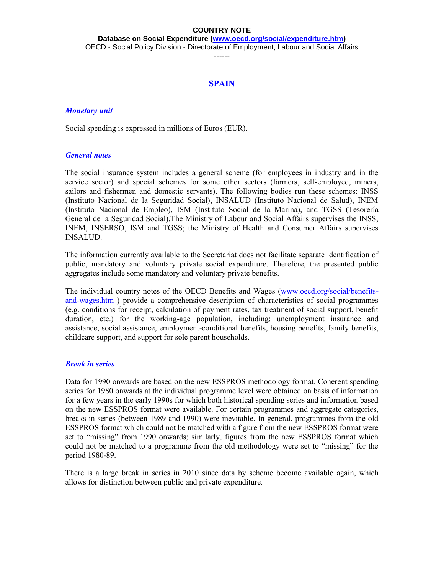**Database on Social Expenditure [\(www.oecd.org/social/expenditure.htm\)](http://www.oecd.org/social/expenditure.htm)** OECD - Social Policy Division - Directorate of Employment, Labour and Social Affairs

------

# **SPAIN**

### *Monetary unit*

Social spending is expressed in millions of Euros (EUR).

### *General notes*

The social insurance system includes a general scheme (for employees in industry and in the service sector) and special schemes for some other sectors (farmers, self-employed, miners, sailors and fishermen and domestic servants). The following bodies run these schemes: INSS (Instituto Nacional de la Seguridad Social), INSALUD (Instituto Nacional de Salud), INEM (Instituto Nacional de Empleo), ISM (Instituto Social de la Marina), and TGSS (Tesorería General de la Seguridad Social).The Ministry of Labour and Social Affairs supervises the INSS, INEM, INSERSO, ISM and TGSS; the Ministry of Health and Consumer Affairs supervises INSALUD.

The information currently available to the Secretariat does not facilitate separate identification of public, mandatory and voluntary private social expenditure. Therefore, the presented public aggregates include some mandatory and voluntary private benefits.

The individual country notes of the OECD Benefits and Wages [\(www.oecd.org/social/benefits](http://www.oecd.org/social/benefits-and-wages.htm)[and-wages.htm](http://www.oecd.org/social/benefits-and-wages.htm) ) provide a comprehensive description of characteristics of social programmes (e.g. conditions for receipt, calculation of payment rates, tax treatment of social support, benefit duration, etc.) for the working-age population, including: unemployment insurance and assistance, social assistance, employment-conditional benefits, housing benefits, family benefits, childcare support, and support for sole parent households.

### *Break in series*

Data for 1990 onwards are based on the new ESSPROS methodology format. Coherent spending series for 1980 onwards at the individual programme level were obtained on basis of information for a few years in the early 1990s for which both historical spending series and information based on the new ESSPROS format were available. For certain programmes and aggregate categories, breaks in series (between 1989 and 1990) were inevitable. In general, programmes from the old ESSPROS format which could not be matched with a figure from the new ESSPROS format were set to "missing" from 1990 onwards; similarly, figures from the new ESSPROS format which could not be matched to a programme from the old methodology were set to "missing" for the period 1980-89.

There is a large break in series in 2010 since data by scheme become available again, which allows for distinction between public and private expenditure.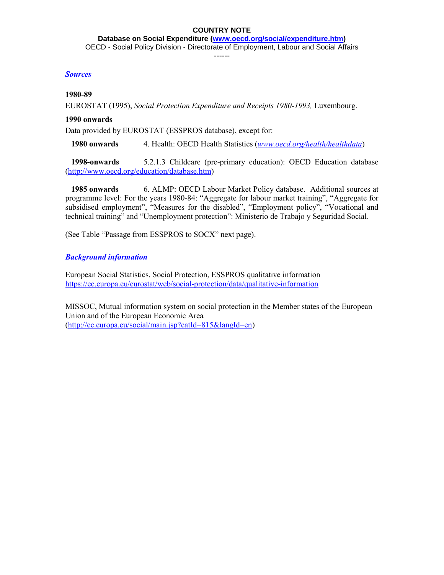**Database on Social Expenditure [\(www.oecd.org/social/expenditure.htm\)](http://www.oecd.org/social/expenditure.htm)** OECD - Social Policy Division - Directorate of Employment, Labour and Social Affairs

------

## *Sources*

## **1980-89**

EUROSTAT (1995), *Social Protection Expenditure and Receipts 1980-1993,* Luxembourg.

# **1990 onwards**

Data provided by EUROSTAT (ESSPROS database), except for:

 **1980 onwards** 4. Health: OECD Health Statistics (*[www.oecd.org/health/healthdata](http://www.oecd.org/health/healthdata)*)

 **1998-onwards** 5.2.1.3 Childcare (pre-primary education): OECD Education database [\(http://www.oecd.org/education/database.htm\)](http://www.oecd.org/education/database.htm)

 **1985 onwards** 6. ALMP: OECD Labour Market Policy database. Additional sources at programme level: For the years 1980-84: "Aggregate for labour market training", "Aggregate for subsidised employment", "Measures for the disabled", "Employment policy", "Vocational and technical training" and "Unemployment protection": Ministerio de Trabajo y Seguridad Social.

(See Table "Passage from ESSPROS to SOCX" next page).

# *Background information*

European Social Statistics, Social Protection, ESSPROS qualitative information <https://ec.europa.eu/eurostat/web/social-protection/data/qualitative-information>

MISSOC, Mutual information system on social protection in the Member states of the European Union and of the European Economic Area [\(http://ec.europa.eu/social/main.jsp?catId=815&langId=en\)](http://ec.europa.eu/social/main.jsp?catId=815&langId=en)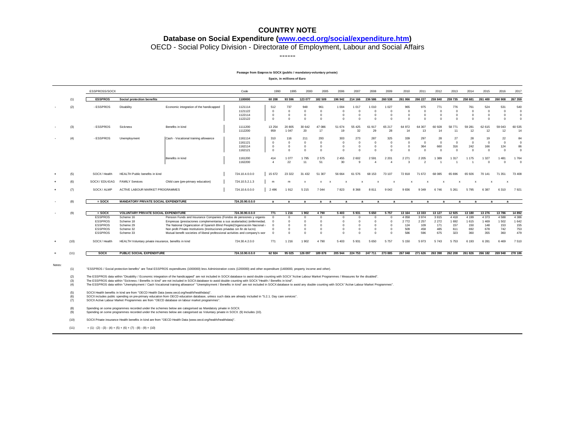#### **Database on Social Expenditure [\(www.oecd.org/social/expenditure.htm\)](http://www.oecd.org/social/expenditure.htm)**

OECD - Social Policy Division - Directorate of Employment, Labour and Social Affairs

------

#### **Passage from Esspros to SOCX (public / mandatory-voluntary private)**

**Spain, in millions of Euro**

|          |            | ESSPROSS/SOCX                    |                                                      |                                                                                                                                                                                                                                                                                                                                                                                                 | Code                                                | 1990                                             | 1995                                               | 2000                                    | 2005                                            | 2006                                               | 2007                                               | 2008                                               | 2009                                               | 2010                                               | 2011                                          | 2012                                         | 2013                                         | 2014                                               | 2015                                               | 2016                                         | 2017                                         |
|----------|------------|----------------------------------|------------------------------------------------------|-------------------------------------------------------------------------------------------------------------------------------------------------------------------------------------------------------------------------------------------------------------------------------------------------------------------------------------------------------------------------------------------------|-----------------------------------------------------|--------------------------------------------------|----------------------------------------------------|-----------------------------------------|-------------------------------------------------|----------------------------------------------------|----------------------------------------------------|----------------------------------------------------|----------------------------------------------------|----------------------------------------------------|-----------------------------------------------|----------------------------------------------|----------------------------------------------|----------------------------------------------------|----------------------------------------------------|----------------------------------------------|----------------------------------------------|
|          | (1)        | <b>ESSPROS</b>                   | Social protection benefits                           |                                                                                                                                                                                                                                                                                                                                                                                                 | 1100000                                             | 60 208                                           | 93 596                                             | 123 077                                 | 182 509                                         | 196 942                                            | 214 166                                            | 236 586                                            | 260 538                                            | 261 066                                            | 266 227                                       | 259 840                                      | 259 735                                      | 258 681                                            | 261 400                                            | 260 908                                      | 267 359                                      |
|          | (2)        | - ESSPROS                        | Disability                                           | Economic integration of the handicapped                                                                                                                                                                                                                                                                                                                                                         | 1121114<br>1121122<br>1122114<br>1122122            | 512<br>$\mathbf 0$<br>$\mathbf 0$<br>$\Omega$    | 737<br>$\Omega$<br>$\Omega$<br>$\Omega$            | 948<br>$\Omega$<br>$\Omega$<br>$\Omega$ | 961<br>$\Omega$<br>$\Omega$<br>$\Omega$         | 1 0 0 4<br>$\Omega$<br>$\Omega$<br>$\Omega$        | 1 0 1 7<br>$\Omega$<br>$\Omega$<br>$\Omega$        | 1 0 1 0<br>$\Omega$<br>$\Omega$<br>$\Omega$        | 1 0 2 7<br>$\Omega$<br>$\Omega$<br>$\Omega$        | 965<br>$^{\circ}$<br>$\mathbf 0$<br>$\Omega$       | 975<br>$^{\circ}$<br>$\Omega$<br>$\Omega$     | 771<br>$\Omega$                              | 776<br>$\Omega$<br>$\Omega$                  | 761<br>$\Omega$<br>$\Omega$<br>$\Omega$            | 524<br>$^{\circ}$<br>$\Omega$<br>$\Omega$          | 531<br>$\Omega$<br>$\Omega$<br>$\Omega$      | 540<br>$^{\circ}$<br>$\mathbf 0$<br>$\Omega$ |
|          | (3)        | - ESSPROS                        | Sickness                                             | Benefits in kind                                                                                                                                                                                                                                                                                                                                                                                | 1111200<br>1112200                                  | 13 2 54<br>959                                   | 20 805<br>1 0 4 7                                  | 30 642<br>20                            | 47 086<br>17                                    | 51 674<br>19                                       | 55 4 25<br>32                                      | 61 917<br>29                                       | 65 217<br>28                                       | 64 972<br>14                                       | 64 307<br>13                                  | 60 928<br>14                                 | 58 771<br>11                                 | 59 281<br>12                                       | 62 615<br>12                                       | 59 043<br>12                                 | 60 535<br>14                                 |
|          | (4)        | - ESSPROS                        | Unemployment                                         | Cash - Vocational training allowance<br>Benefits in kind                                                                                                                                                                                                                                                                                                                                        | 1161114<br>1161121<br>1162114<br>1162121<br>1161200 | 310<br>$^{\circ}$<br>$\Omega$<br>$\Omega$<br>414 | 116<br>$\Omega$<br>$\Omega$<br>$\Omega$<br>1 0 7 7 | 211<br>$\Omega$<br>$\Omega$<br>1795     | 293<br>$\Omega$<br>$\Omega$<br>$\Omega$<br>2575 | 303<br>$\Omega$<br>$\Omega$<br>$\Omega$<br>2 4 5 5 | 273<br>$\Omega$<br>$\Omega$<br>$\Omega$<br>2 6 0 2 | 287<br>$\Omega$<br>$\Omega$<br>$\Omega$<br>2 5 9 1 | 325<br>$\Omega$<br>$\Omega$<br>$\Omega$<br>2 2 0 1 | 339<br>$\Omega$<br>$\Omega$<br>$\Omega$<br>2 2 7 1 | 297<br>$\Omega$<br>364<br>$\Omega$<br>2 2 0 5 | 28<br>$\Omega$<br>660<br>$\Omega$<br>1 3 8 9 | 27<br>$\Omega$<br>316<br>$\Omega$<br>1 3 1 7 | 28<br>$\overline{0}$<br>242<br>$\Omega$<br>1 1 7 5 | 19<br>$\overline{0}$<br>166<br>$\Omega$<br>1 3 2 7 | 22<br>$\Omega$<br>124<br>$\Omega$<br>1 4 8 1 | 84<br>$\Omega$<br>86<br>$\Omega$<br>1764     |
|          | (5)        | SOCX / Health                    | HEALTH Public benefits in kind                       |                                                                                                                                                                                                                                                                                                                                                                                                 | 1162200<br>724.10.4.0.0.0                           | $\overline{4}$<br>15 672                         | 22<br>23 3 22                                      | 11<br>31 4 32                           | 51<br>51 307                                    | 30<br>56 664                                       | 9<br>61 576                                        | Δ<br>68 153                                        | $\Delta$<br>73 107                                 | 3<br>72 818                                        | $\mathcal{D}$<br>71 672                       | 68 085                                       | 65 696                                       | 65 926                                             | $\Omega$<br>70 141                                 | $\Omega$<br>71 351                           | $\Omega$<br>73 408                           |
|          |            | SOCX/EDU-EAG                     | <b>FAMILY Services</b>                               | Child care (pre-primary education)                                                                                                                                                                                                                                                                                                                                                              | 724.10.5.2.1.3                                      | m                                                | m                                                  |                                         |                                                 |                                                    |                                                    |                                                    |                                                    |                                                    |                                               |                                              |                                              |                                                    |                                                    |                                              |                                              |
|          | (7)        | SOCX/ALMP                        | ACTIVE LABOUR MARKET PROGRAMMES                      |                                                                                                                                                                                                                                                                                                                                                                                                 | 724.10.6.0.0.0                                      | 2 4 9 6                                          | 1912                                               | 5 2 1 5                                 | 7 0 4 4                                         | 7823                                               | 8 3 6 8                                            | 8811                                               | 9 0 4 2                                            | 9836                                               | 9 3 4 9                                       | 6746                                         | 5 2 6 1                                      | 5 7 9 5                                            | 6 3 8 7                                            | 6 3 1 0                                      | 7921                                         |
|          | (8)        | $=$ SOCX                         | <b>MANDATORY PRIVATE SOCIAL EXPENDITURE</b>          |                                                                                                                                                                                                                                                                                                                                                                                                 | 724.20.90.0.0.0                                     | a                                                | a                                                  | a                                       | a<br>a                                          | $\overline{a}$                                     | a                                                  | $\overline{a}$                                     | $\overline{a}$                                     | a                                                  | a                                             | a                                            | a                                            | $\overline{a}$                                     | $\overline{a}$                                     | a                                            |                                              |
|          |            |                                  |                                                      |                                                                                                                                                                                                                                                                                                                                                                                                 |                                                     |                                                  |                                                    |                                         |                                                 |                                                    |                                                    |                                                    |                                                    |                                                    |                                               |                                              |                                              |                                                    |                                                    |                                              |                                              |
|          | (9)        | $=$ SOCX                         | <b>VOLUNTARY PRIVATE SOCIAL EXPENDITURE</b>          |                                                                                                                                                                                                                                                                                                                                                                                                 | 724.30.90.0.0.0                                     | 771                                              | 1 2 1 6                                            | 1 902                                   | 4 7 9 0                                         | 5 4 0 3                                            | 5 9 3 1                                            | 5 6 5 0                                            | 5 7 5 7                                            | 13 164                                             | 13 3 3 3                                      | 13 127                                       | 12 9 25                                      | 13 180                                             | 13 276                                             | 13786                                        | 14 8 9 2                                     |
|          |            | <b>ESSPROS</b><br><b>ESSPROS</b> | Scheme 16<br>Scheme 18                               | Pension Funds and Insurance Companies (Fondos de pensiones y organis<br>Empresas (prestaciones complementarias a sus asalariados) (enfermedad.                                                                                                                                                                                                                                                  |                                                     | $\mathbf{0}$<br>$\Omega$                         | $\Omega$<br>$\Omega$                               |                                         | $\Omega$<br>$\Omega$                            | $\Omega$<br>$\Omega$                               | $\Omega$<br>$\Omega$                               | $\Omega$<br>$\Omega$                               | C<br>$\Omega$                                      | 4 0 5 8<br>2772                                    | 3 9 7 4<br>2 2 5 7                            | 3815<br>2 2 7 2                              | 4418<br>1 6 9 2                              | 4 1 9 9<br>1 6 1 5                                 | 4 3 7 3<br>1 4 6 9                                 | 4588<br>1 502                                | 4 3 8 6<br>1 642                             |
|          |            | <b>ESSPROS</b>                   | Scheme 29                                            | The National Organization of Spanish Blind People(Organización Nacional                                                                                                                                                                                                                                                                                                                         |                                                     | $\Omega$                                         | $\Omega$                                           |                                         |                                                 | $\Omega$                                           |                                                    | $\Omega$                                           | $\Omega$                                           | 124                                                | 109                                           | 171                                          | 157                                          | 150                                                | 148                                                | 153                                          | 155                                          |
|          |            | <b>ESSPROS</b>                   | Scheme 32                                            | Non profit Private Institutions (Instituciones privadas sin fin de lucro)                                                                                                                                                                                                                                                                                                                       |                                                     | $\Omega$                                         | $\Omega$                                           |                                         | $\Omega$                                        | $\Omega$                                           | $\Omega$                                           | $\Omega$                                           | $\Omega$                                           | 509                                                | 458                                           | 485                                          | 611                                          | 692                                                | 678                                                | 742                                          | 753                                          |
|          |            | <b>ESSPROS</b>                   | Scheme 33                                            | Mutual benefit societies of liberal professional activities and company's wor                                                                                                                                                                                                                                                                                                                   |                                                     | $\Omega$                                         | $\Omega$                                           |                                         | $\Omega$                                        | $\Omega$                                           | $\Omega$                                           | $\Omega$                                           | C                                                  | 586                                                | 596                                           | 675                                          | 323                                          | 360                                                | 355                                                | 360                                          | 479                                          |
|          | (10)       | SOCX / Health                    | HEALTH Voluntary private insurance, benefits in kind |                                                                                                                                                                                                                                                                                                                                                                                                 | 724.30.4.2.0.0                                      | 771                                              | 1 2 1 6                                            | 1902                                    | 4 7 9 0                                         | 5 4 0 3                                            | 5 9 3 1                                            | 5 6 5 0                                            | 5 7 5 7                                            | 5 1 5 0                                            | 5973                                          | 5 7 4 3                                      | 5753                                         | 6 1 9 3                                            | 6 2 8 1                                            | 6469                                         | 7510                                         |
| $\equiv$ | (11)       | <b>SOCX</b>                      | <b>PUBLIC SOCIAL EXPENDITURE</b>                     |                                                                                                                                                                                                                                                                                                                                                                                                 | 724.10.90.0.0.0                                     | 62 924                                           | 95 025                                             | 126 097                                 | 189 878                                         | 205 944                                            | 224 753                                            | 247 711                                            | 273 885                                            | 267 048                                            | 271 626                                       | 263 398                                      | 262 208                                      | 261826                                             | 266 182 269 948                                    |                                              | 278 186                                      |
| Notes:   | (1)<br>(2) |                                  |                                                      | "ESSPROS / Social protection benefits" are Total ESSPROS expenditures (1000000) less Administration costs (1200000) and other expenditure (1400000, property income and other).<br>The ECODDOC data within "Disability / Economia interestion of the bondingnone" are not included in COCY databage to qualified opunting with COCY "Aetive Labour Market Dreammen / Monourne for the disabled" |                                                     |                                                  |                                                    |                                         |                                                 |                                                    |                                                    |                                                    |                                                    |                                                    |                                               |                                              |                                              |                                                    |                                                    |                                              |                                              |

(2) The ESSPROS data within "Disability / Economic integration of the handicapeod" as one of the outline was to a solid double counting with SOCX "Active Labour Market Programmes / Measures for the disabled".<br>(3) The ESSPR

(4) The ESSPROS data within "Unemployment / Cash Vocational training allowance" "Unemployment / Benefits in kind" are not included in SOCX database to avoid any double counting with SOCX "Active Labour Market Programmes".

(5) SOCX Health benefits in kind are from "OECD Health Data (www.oecd.org/health/healthdata)".<br>(6) SOCX includes public spending on pre-primary education from OECD education database, unless such data are already included

(8) Spending on some programmes recorded under the schemes below are categorised as Mandatory private in SOCX.<br>(9) Spending on some programmes recorded under the schemes below are categorised as Voluntary private in SOCX.

(10) SOCX Private insurance Health benefits in kind are from "OECD Health Data (www.oecd.org/health/healthdata)".

(11)  $=(1)-(2)-(3)-(4)+(5)+(6)+(7)-(8)-(9)+(10)$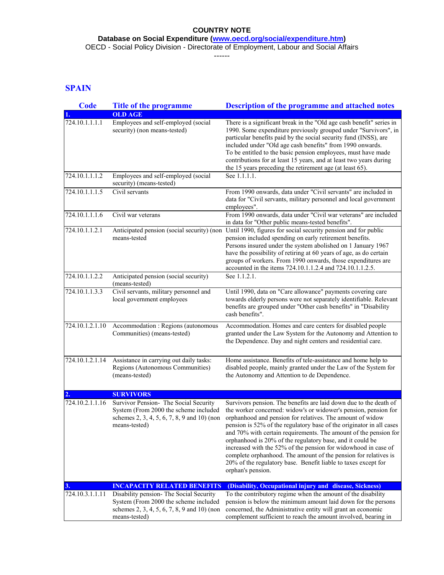**Database on Social Expenditure [\(www.oecd.org/social/expenditure.htm\)](http://www.oecd.org/social/expenditure.htm)**

OECD - Social Policy Division - Directorate of Employment, Labour and Social Affairs

------

# **SPAIN**

| <b>Code</b>     | <b>Title of the programme</b>                                                                                                                    | <b>Description of the programme and attached notes</b>                                                                                                                                                                                                                                                                                                                                                                                                                                                                                                                                                                                   |
|-----------------|--------------------------------------------------------------------------------------------------------------------------------------------------|------------------------------------------------------------------------------------------------------------------------------------------------------------------------------------------------------------------------------------------------------------------------------------------------------------------------------------------------------------------------------------------------------------------------------------------------------------------------------------------------------------------------------------------------------------------------------------------------------------------------------------------|
|                 | <b>OLD AGE</b>                                                                                                                                   |                                                                                                                                                                                                                                                                                                                                                                                                                                                                                                                                                                                                                                          |
| 724.10.1.1.1.1  | Employees and self-employed (social<br>security) (non means-tested)                                                                              | There is a significant break in the "Old age cash benefit" series in<br>1990. Some expenditure previously grouped under "Survivors", in<br>particular benefits paid by the social security fund (INSS), are<br>included under "Old age cash benefits" from 1990 onwards.<br>To be entitled to the basic pension employees, must have made<br>contributions for at least 15 years, and at least two years during<br>the 15 years preceding the retirement age (at least 65).                                                                                                                                                              |
| 724.10.1.1.1.2  | Employees and self-employed (social<br>security) (means-tested)                                                                                  | See 1.1.1.1.                                                                                                                                                                                                                                                                                                                                                                                                                                                                                                                                                                                                                             |
| 724.10.1.1.1.5  | Civil servants                                                                                                                                   | From 1990 onwards, data under "Civil servants" are included in<br>data for "Civil servants, military personnel and local government<br>employees".                                                                                                                                                                                                                                                                                                                                                                                                                                                                                       |
| 724.10.1.1.1.6  | Civil war veterans                                                                                                                               | From 1990 onwards, data under "Civil war veterans" are included<br>in data for "Other public means-tested benefits".                                                                                                                                                                                                                                                                                                                                                                                                                                                                                                                     |
| 724.10.1.1.2.1  | means-tested                                                                                                                                     | Anticipated pension (social security) (non Until 1990, figures for social security pension and for public<br>pension included spending on early retirement benefits.<br>Persons insured under the system abolished on 1 January 1967<br>have the possibility of retiring at 60 years of age, as do certain<br>groups of workers. From 1990 onwards, those expenditures are<br>accounted in the items 724.10.1.1.2.4 and 724.10.1.1.2.5.                                                                                                                                                                                                  |
| 724.10.1.1.2.2  | Anticipated pension (social security)<br>(means-tested)                                                                                          | See 1.1.2.1.                                                                                                                                                                                                                                                                                                                                                                                                                                                                                                                                                                                                                             |
| 724.10.1.1.3.3  | Civil servants, military personnel and<br>local government employees                                                                             | Until 1990, data on "Care allowance" payments covering care<br>towards elderly persons were not separately identifiable. Relevant<br>benefits are grouped under "Other cash benefits" in "Disability<br>cash benefits".                                                                                                                                                                                                                                                                                                                                                                                                                  |
| 724.10.1.2.1.10 | Accommodation : Regions (autonomous<br>Communities) (means-tested)                                                                               | Accommodation. Homes and care centers for disabled people<br>granted under the Law System for the Autonomy and Attention to<br>the Dependence. Day and night centers and residential care.                                                                                                                                                                                                                                                                                                                                                                                                                                               |
| 724.10.1.2.1.14 | Assistance in carrying out daily tasks:<br>Regions (Autonomous Communities)<br>(means-tested)                                                    | Home assistance. Benefits of tele-assistance and home help to<br>disabled people, mainly granted under the Law of the System for<br>the Autonomy and Attention to de Dependence.                                                                                                                                                                                                                                                                                                                                                                                                                                                         |
| 2.              | <b>SURVIVORS</b>                                                                                                                                 |                                                                                                                                                                                                                                                                                                                                                                                                                                                                                                                                                                                                                                          |
| 724.10.2.1.1.16 | Survivor Pension- The Social Security<br>System (From 2000 the scheme included<br>schemes 2, 3, 4, 5, 6, 7, 8, 9 and 10) (non<br>means-tested)   | Survivors pension. The benefits are laid down due to the death of<br>the worker concerned: widow's or widower's pension, pension for<br>orphanhood and pension for relatives. The amount of widow<br>pension is 52% of the regulatory base of the originator in all cases  <br>and 70% with certain requirements. The amount of the pension for<br>orphanhood is 20% of the regulatory base, and it could be<br>increased with the 52% of the pension for widowhood in case of<br>complete orphanhood. The amount of the pension for relatives is<br>20% of the regulatory base. Benefit liable to taxes except for<br>orphan's pension. |
| 3.              | <b>INCAPACITY RELATED BENEFITS</b>                                                                                                               | (Disability, Occupational injury and disease, Sickness)                                                                                                                                                                                                                                                                                                                                                                                                                                                                                                                                                                                  |
| 724.10.3.1.1.11 | Disability pension- The Social Security<br>System (From 2000 the scheme included<br>schemes 2, 3, 4, 5, 6, 7, 8, 9 and 10) (non<br>means-tested) | To the contributory regime when the amount of the disability<br>pension is below the minimum amount laid down for the persons<br>concerned, the Administrative entity will grant an economic<br>complement sufficient to reach the amount involved, bearing in                                                                                                                                                                                                                                                                                                                                                                           |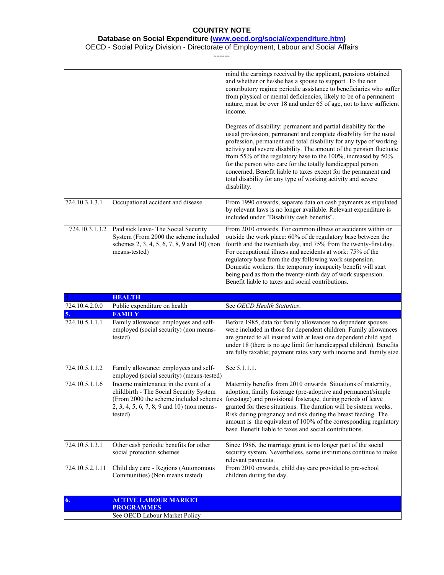#### **Database on Social Expenditure [\(www.oecd.org/social/expenditure.htm\)](http://www.oecd.org/social/expenditure.htm)**

#### OECD - Social Policy Division - Directorate of Employment, Labour and Social Affairs

------

|                 |                                                                                                                                                                                       | mind the earnings received by the applicant, pensions obtained<br>and whether or he/she has a spouse to support. To the non<br>contributory regime periodic assistance to beneficiaries who suffer<br>from physical or mental deficiencies, likely to be of a permanent<br>nature, must be over 18 and under 65 of age, not to have sufficient<br>income.<br>Degrees of disability: permanent and partial disability for the<br>usual profession, permanent and complete disability for the usual<br>profession, permanent and total disability for any type of working<br>activity and severe disability. The amount of the pension fluctuate<br>from 55% of the regulatory base to the 100%, increased by 50%<br>for the person who care for the totally handicapped person<br>concerned. Benefit liable to taxes except for the permanent and<br>total disability for any type of working activity and severe<br>disability. |
|-----------------|---------------------------------------------------------------------------------------------------------------------------------------------------------------------------------------|---------------------------------------------------------------------------------------------------------------------------------------------------------------------------------------------------------------------------------------------------------------------------------------------------------------------------------------------------------------------------------------------------------------------------------------------------------------------------------------------------------------------------------------------------------------------------------------------------------------------------------------------------------------------------------------------------------------------------------------------------------------------------------------------------------------------------------------------------------------------------------------------------------------------------------|
| 724.10.3.1.3.1  | Occupational accident and disease                                                                                                                                                     | From 1990 onwards, separate data on cash payments as stipulated<br>by relevant laws is no longer available. Relevant expenditure is<br>included under "Disability cash benefits".                                                                                                                                                                                                                                                                                                                                                                                                                                                                                                                                                                                                                                                                                                                                               |
|                 | 724.10.3.1.3.2 Paid sick leave- The Social Security<br>System (From 2000 the scheme included<br>schemes 2, 3, 4, 5, 6, 7, 8, 9 and 10) (non<br>means-tested)                          | From 2010 onwards. For common illness or accidents within or<br>outside the work place: 60% of de regulatory base between the<br>fourth and the twentieth day, and 75% from the twenty-first day.<br>For occupational illness and accidents at work: 75% of the<br>regulatory base from the day following work suspension.<br>Domestic workers: the temporary incapacity benefit will start<br>being paid as from the twenty-ninth day of work suspension.<br>Benefit liable to taxes and social contributions.                                                                                                                                                                                                                                                                                                                                                                                                                 |
|                 | <b>HEALTH</b>                                                                                                                                                                         |                                                                                                                                                                                                                                                                                                                                                                                                                                                                                                                                                                                                                                                                                                                                                                                                                                                                                                                                 |
| 724.10.4.2.0.0  | Public expenditure on health                                                                                                                                                          | See OECD Health Statistics.                                                                                                                                                                                                                                                                                                                                                                                                                                                                                                                                                                                                                                                                                                                                                                                                                                                                                                     |
|                 |                                                                                                                                                                                       |                                                                                                                                                                                                                                                                                                                                                                                                                                                                                                                                                                                                                                                                                                                                                                                                                                                                                                                                 |
| 5.              | <b>FAMILY</b>                                                                                                                                                                         |                                                                                                                                                                                                                                                                                                                                                                                                                                                                                                                                                                                                                                                                                                                                                                                                                                                                                                                                 |
| 724.10.5.1.1.1  | Family allowance: employees and self-<br>employed (social security) (non means-<br>tested)                                                                                            | Before 1985, data for family allowances to dependent spouses<br>were included in those for dependent children. Family allowances<br>are granted to all insured with at least one dependent child aged<br>under 18 (there is no age limit for handicapped children). Benefits<br>are fully taxable; payment rates vary with income and family size.                                                                                                                                                                                                                                                                                                                                                                                                                                                                                                                                                                              |
| 724.10.5.1.1.2  | Family allowance: employees and self-<br>employed (social security) (means-tested)                                                                                                    | See 5.1.1.1.                                                                                                                                                                                                                                                                                                                                                                                                                                                                                                                                                                                                                                                                                                                                                                                                                                                                                                                    |
| 724.10.5.1.1.6  | Income maintenance in the event of a<br>childbirth - The Social Security System<br>(From 2000 the scheme included schemes)<br>$2, 3, 4, 5, 6, 7, 8, 9$ and 10) (non means-<br>tested) | Maternity benefits from 2010 onwards. Situations of maternity,<br>adoption, family fosterage (pre-adoptive and permanent/simple<br>forestage) and provisional fosterage, during periods of leave<br>granted for these situations. The duration will be sixteen weeks.<br>Risk during pregnancy and risk during the breast feeding. The<br>amount is the equivalent of 100% of the corresponding regulatory<br>base. Benefit liable to taxes and social contributions.                                                                                                                                                                                                                                                                                                                                                                                                                                                           |
| 724.10.5.1.3.1  | Other cash periodic benefits for other<br>social protection schemes                                                                                                                   | Since 1986, the marriage grant is no longer part of the social<br>security system. Nevertheless, some institutions continue to make<br>relevant payments.                                                                                                                                                                                                                                                                                                                                                                                                                                                                                                                                                                                                                                                                                                                                                                       |
| 724.10.5.2.1.11 | Child day care - Regions (Autonomous<br>Communities) (Non means tested)                                                                                                               | From 2010 onwards, child day care provided to pre-school<br>children during the day.                                                                                                                                                                                                                                                                                                                                                                                                                                                                                                                                                                                                                                                                                                                                                                                                                                            |
| 6.              | <b>ACTIVE LABOUR MARKET</b>                                                                                                                                                           |                                                                                                                                                                                                                                                                                                                                                                                                                                                                                                                                                                                                                                                                                                                                                                                                                                                                                                                                 |
|                 | <b>PROGRAMMES</b><br>See OECD Labour Market Policy                                                                                                                                    |                                                                                                                                                                                                                                                                                                                                                                                                                                                                                                                                                                                                                                                                                                                                                                                                                                                                                                                                 |